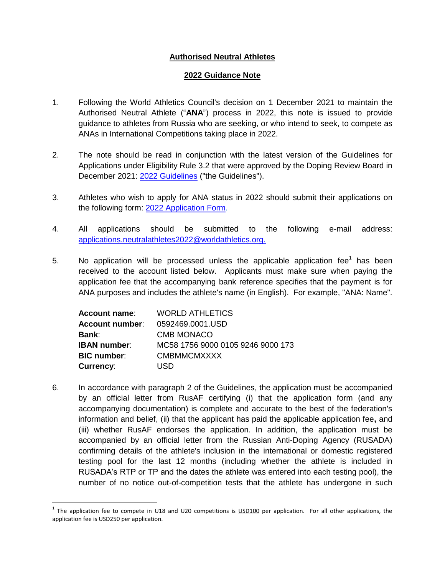## **Authorised Neutral Athletes**

## **2022 Guidance Note**

- 1. Following the World Athletics Council's decision on 1 December 2021 to maintain the Authorised Neutral Athlete ("**ANA**") process in 2022, this note is issued to provide guidance to athletes from Russia who are seeking, or who intend to seek, to compete as ANAs in International Competitions taking place in 2022.
- 2. The note should be read in conjunction with the latest version of the Guidelines for Applications under Eligibility Rule 3.2 that were approved by the Doping Review Board in December 2021: [2022 Guidelines](https://worldathletics.org/download/download?filename=5e362225-eec5-49cc-bea6-9ff03d39a517.pdf&urlslug=ANA%20Guidelines%202021) ("the Guidelines").
- 3. Athletes who wish to apply for ANA status in 2022 should submit their applications on the following form: 2022 [Application Form.](https://worldathletics.org/download/download?filename=938d6493-1862-4a91-bb8c-587b438ce864.doc&urlslug=ANA%20Application%20Form%202022)
- 4. All applications should be submitted to the following e-mail address: [applications.neutralathletes2022@worldathletics.org.](mailto:applications.neutralathletes2022@worldathletics.org)
- 5.  $\quad$  No application will be processed unless the applicable application fee<sup>1</sup> has been received to the account listed below. Applicants must make sure when paying the application fee that the accompanying bank reference specifies that the payment is for ANA purposes and includes the athlete's name (in English). For example, "ANA: Name".

| <b>Account name:</b> | <b>WORLD ATHLETICS</b>            |
|----------------------|-----------------------------------|
| Account number:      | 0592469.0001.USD                  |
| Bank:                | <b>CMB MONACO</b>                 |
| <b>IBAN number:</b>  | MC58 1756 9000 0105 9246 9000 173 |
| <b>BIC number:</b>   | <b>CMBMMCMXXXX</b>                |
| <b>Currency:</b>     | USD                               |

 $\overline{\phantom{a}}$ 

6. In accordance with paragraph 2 of the Guidelines, the application must be accompanied by an official letter from RusAF certifying (i) that the application form (and any accompanying documentation) is complete and accurate to the best of the federation's information and belief, (ii) that the applicant has paid the applicable application fee**,** and (iii) whether RusAF endorses the application. In addition, the application must be accompanied by an official letter from the Russian Anti-Doping Agency (RUSADA) confirming details of the athlete's inclusion in the international or domestic registered testing pool for the last 12 months (including whether the athlete is included in RUSADA's RTP or TP and the dates the athlete was entered into each testing pool), the number of no notice out-of-competition tests that the athlete has undergone in such

 $1$  The application fee to compete in U18 and U20 competitions is  $\underline{USD100}$  per application. For all other applications, the application fee is USD250 per application.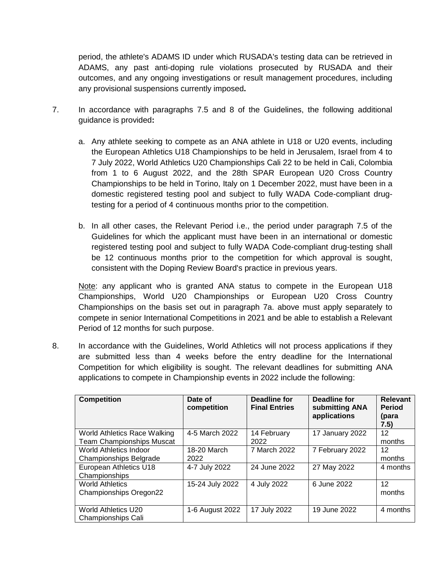period, the athlete's ADAMS ID under which RUSADA's testing data can be retrieved in ADAMS, any past anti-doping rule violations prosecuted by RUSADA and their outcomes, and any ongoing investigations or result management procedures, including any provisional suspensions currently imposed**.** 

- 7. In accordance with paragraphs 7.5 and 8 of the Guidelines, the following additional guidance is provided**:**
	- a. Any athlete seeking to compete as an ANA athlete in U18 or U20 events, including the European Athletics U18 Championships to be held in Jerusalem, Israel from 4 to 7 July 2022, World Athletics U20 Championships Cali 22 to be held in Cali, Colombia from 1 to 6 August 2022, and the 28th SPAR European U20 Cross Country Championships to be held in Torino, Italy on 1 December 2022, must have been in a domestic registered testing pool and subject to fully WADA Code-compliant drugtesting for a period of 4 continuous months prior to the competition.
	- b. In all other cases, the Relevant Period i.e., the period under paragraph 7.5 of the Guidelines for which the applicant must have been in an international or domestic registered testing pool and subject to fully WADA Code-compliant drug-testing shall be 12 continuous months prior to the competition for which approval is sought, consistent with the Doping Review Board's practice in previous years.

Note: any applicant who is granted ANA status to compete in the European U18 Championships, World U20 Championships or European U20 Cross Country Championships on the basis set out in paragraph 7a. above must apply separately to compete in senior International Competitions in 2021 and be able to establish a Relevant Period of 12 months for such purpose.

8. In accordance with the Guidelines, World Athletics will not process applications if they are submitted less than 4 weeks before the entry deadline for the International Competition for which eligibility is sought. The relevant deadlines for submitting ANA applications to compete in Championship events in 2022 include the following:

| <b>Competition</b>               | Date of<br>competition | Deadline for<br><b>Final Entries</b> | Deadline for<br>submitting ANA<br>applications | <b>Relevant</b><br><b>Period</b><br>(para<br>7.5) |
|----------------------------------|------------------------|--------------------------------------|------------------------------------------------|---------------------------------------------------|
| World Athletics Race Walking     | 4-5 March 2022         | 14 February                          | 17 January 2022                                | $12 \,$                                           |
| <b>Team Championships Muscat</b> |                        | 2022                                 |                                                | months                                            |
| World Athletics Indoor           | 18-20 March            | 7 March 2022                         | 7 February 2022                                | 12                                                |
| <b>Championships Belgrade</b>    | 2022                   |                                      |                                                | months                                            |
| European Athletics U18           | 4-7 July 2022          | 24 June 2022                         | 27 May 2022                                    | 4 months                                          |
| Championships                    |                        |                                      |                                                |                                                   |
| <b>World Athletics</b>           | 15-24 July 2022        | 4 July 2022                          | 6 June 2022                                    | 12                                                |
| <b>Championships Oregon22</b>    |                        |                                      |                                                | months                                            |
|                                  |                        |                                      |                                                |                                                   |
| World Athletics U20              | 1-6 August 2022        | 17 July 2022                         | 19 June 2022                                   | 4 months                                          |
| <b>Championships Cali</b>        |                        |                                      |                                                |                                                   |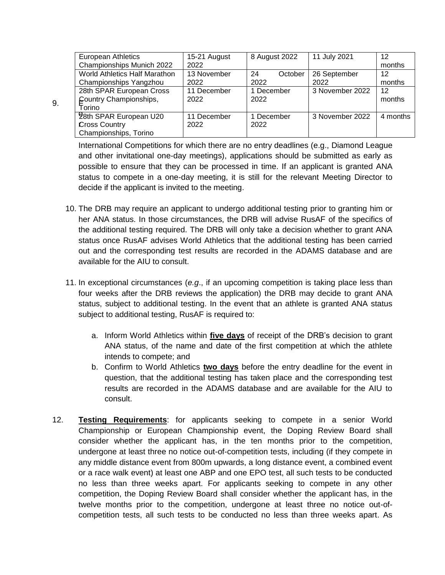| <b>European Athletics</b>            | 15-21 August | 8 August 2022 | 11 July 2021    | 12       |
|--------------------------------------|--------------|---------------|-----------------|----------|
| Championships Munich 2022            | 2022         |               |                 | months   |
| <b>World Athletics Half Marathon</b> | 13 November  | 24<br>October | 26 September    | 12       |
| Championships Yangzhou               | 2022         | 2022          | 2022            | months   |
| 28th SPAR European Cross             | 11 December  | 1 December    | 3 November 2022 | 12       |
| Country Championships,               | 2022         | 2022          |                 | months   |
| Torino                               |              |               |                 |          |
| 28th SPAR European U20               | 11 December  | 1 December    | 3 November 2022 | 4 months |
| Cross Country                        | 2022         | 2022          |                 |          |
| Championships, Torino                |              |               |                 |          |

 $9<sub>r</sub>$ 

International Competitions for which there are no entry deadlines (e.g., Diamond League and other invitational one-day meetings), applications should be submitted as early as possible to ensure that they can be processed in time. If an applicant is granted ANA status to compete in a one-day meeting, it is still for the relevant Meeting Director to decide if the applicant is invited to the meeting.

- 10. The DRB may require an applicant to undergo additional testing prior to granting him or her ANA status. In those circumstances, the DRB will advise RusAF of the specifics of the additional testing required. The DRB will only take a decision whether to grant ANA status once RusAF advises World Athletics that the additional testing has been carried out and the corresponding test results are recorded in the ADAMS database and are available for the AIU to consult.
- 11. In exceptional circumstances (*e.g*., if an upcoming competition is taking place less than four weeks after the DRB reviews the application) the DRB may decide to grant ANA status, subject to additional testing. In the event that an athlete is granted ANA status subject to additional testing, RusAF is required to:
	- a. Inform World Athletics within **five days** of receipt of the DRB's decision to grant ANA status, of the name and date of the first competition at which the athlete intends to compete; and
	- b. Confirm to World Athletics **two days** before the entry deadline for the event in question, that the additional testing has taken place and the corresponding test results are recorded in the ADAMS database and are available for the AIU to consult.
- 12. **Testing Requirements**: for applicants seeking to compete in a senior World Championship or European Championship event, the Doping Review Board shall consider whether the applicant has, in the ten months prior to the competition, undergone at least three no notice out-of-competition tests, including (if they compete in any middle distance event from 800m upwards, a long distance event, a combined event or a race walk event) at least one ABP and one EPO test, all such tests to be conducted no less than three weeks apart. For applicants seeking to compete in any other competition, the Doping Review Board shall consider whether the applicant has, in the twelve months prior to the competition, undergone at least three no notice out-ofcompetition tests, all such tests to be conducted no less than three weeks apart. As